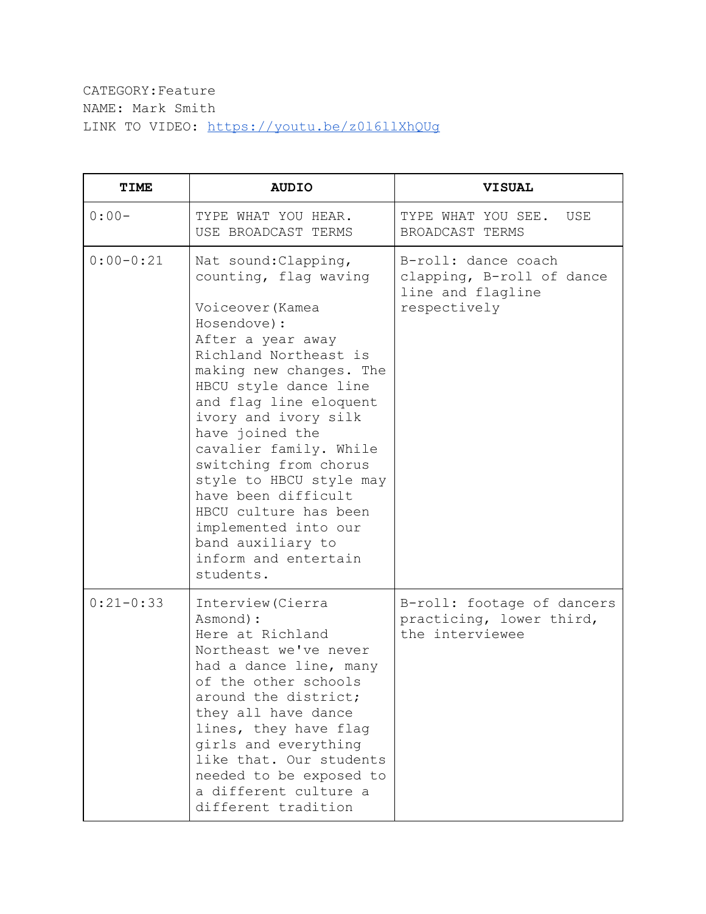## CATEGORY:Feature NAME: Mark Smith LINK TO VIDEO: <https://youtu.be/z0l6llXhQUg>

| <b>TIME</b> | <b>AUDIO</b>                                                                                                                                                                                                                                                                                                                                                                                                                                                             | <b>VISUAL</b>                                                                         |
|-------------|--------------------------------------------------------------------------------------------------------------------------------------------------------------------------------------------------------------------------------------------------------------------------------------------------------------------------------------------------------------------------------------------------------------------------------------------------------------------------|---------------------------------------------------------------------------------------|
| $0:00-$     | TYPE WHAT YOU HEAR.<br>USE BROADCAST TERMS                                                                                                                                                                                                                                                                                                                                                                                                                               | TYPE WHAT YOU SEE.<br>USE<br>BROADCAST TERMS                                          |
| $0:00-0:21$ | Nat sound: Clapping,<br>counting, flag waving<br>Voiceover (Kamea<br>Hosendove) :<br>After a year away<br>Richland Northeast is<br>making new changes. The<br>HBCU style dance line<br>and flag line eloquent<br>ivory and ivory silk<br>have joined the<br>cavalier family. While<br>switching from chorus<br>style to HBCU style may<br>have been difficult<br>HBCU culture has been<br>implemented into our<br>band auxiliary to<br>inform and entertain<br>students. | B-roll: dance coach<br>clapping, B-roll of dance<br>line and flagline<br>respectively |
| $0:21-0:33$ | Interview (Cierra<br>Asmond) :<br>Here at Richland<br>Northeast we've never<br>had a dance line, many<br>of the other schools<br>around the district;<br>they all have dance<br>lines, they have flag<br>girls and everything<br>like that. Our students<br>needed to be exposed to<br>a different culture a<br>different tradition                                                                                                                                      | B-roll: footage of dancers<br>practicing, lower third,<br>the interviewee             |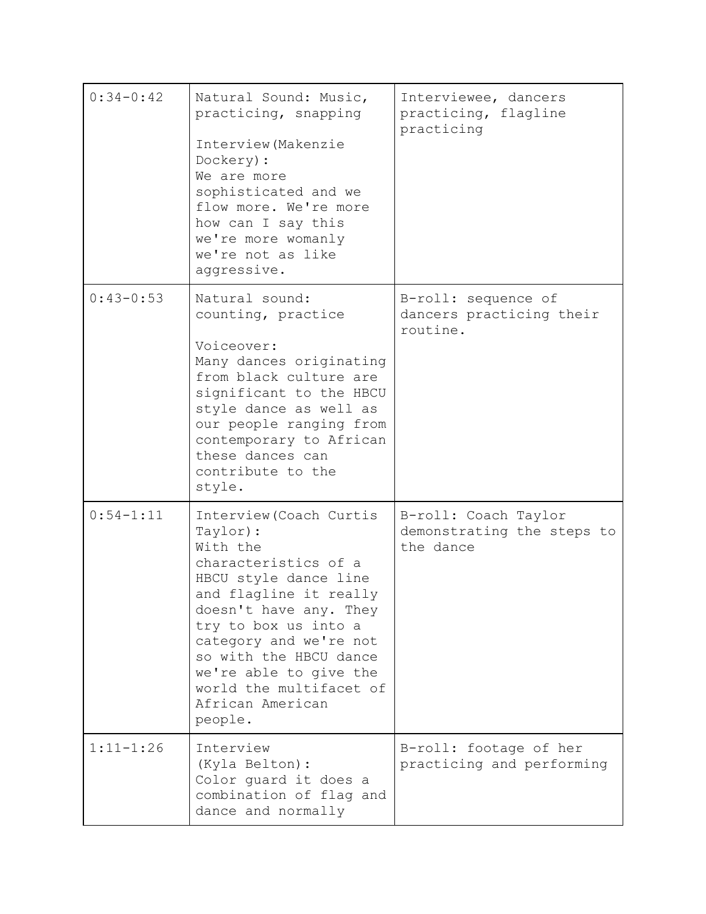| $0:34-0:42$   | Natural Sound: Music,<br>practicing, snapping<br>Interview (Makenzie<br>Dockery) :<br>We are more<br>sophisticated and we<br>flow more. We're more<br>how can I say this<br>we're more womanly<br>we're not as like<br>aggressive.                                                                                   | Interviewee, dancers<br>practicing, flagline<br>practicing      |
|---------------|----------------------------------------------------------------------------------------------------------------------------------------------------------------------------------------------------------------------------------------------------------------------------------------------------------------------|-----------------------------------------------------------------|
| $0:43-0:53$   | Natural sound:<br>counting, practice<br>Voiceover:<br>Many dances originating<br>from black culture are<br>significant to the HBCU<br>style dance as well as<br>our people ranging from<br>contemporary to African<br>these dances can<br>contribute to the<br>style.                                                | B-roll: sequence of<br>dancers practicing their<br>routine.     |
| $0:54 - 1:11$ | Interview (Coach Curtis<br>Taylor):<br>With the<br>characteristics of a<br>HBCU style dance line<br>and flagline it really<br>doesn't have any. They<br>try to box us into a<br>category and we're not<br>so with the HBCU dance<br>we're able to give the<br>world the multifacet of<br>African American<br>people. | B-roll: Coach Taylor<br>demonstrating the steps to<br>the dance |
| $1:11 - 1:26$ | Interview<br>(Kyla Belton) :<br>Color guard it does a<br>combination of flag and<br>dance and normally                                                                                                                                                                                                               | B-roll: footage of her<br>practicing and performing             |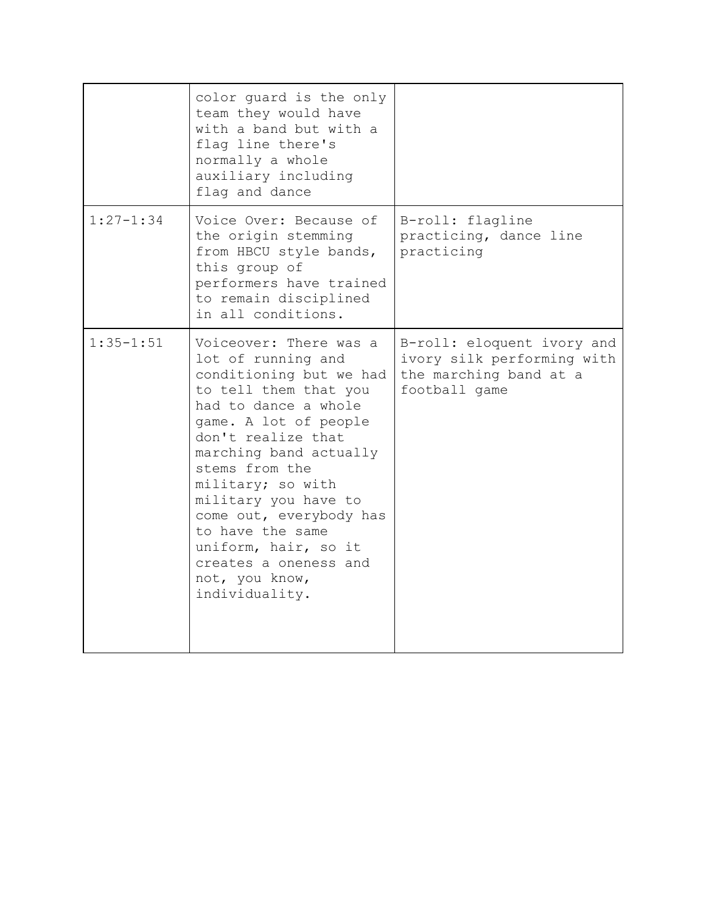|               | color guard is the only<br>team they would have<br>with a band but with a<br>flag line there's<br>normally a whole<br>auxiliary including<br>flag and dance                                                                                                                                                                                                                                          |                                                                                                     |
|---------------|------------------------------------------------------------------------------------------------------------------------------------------------------------------------------------------------------------------------------------------------------------------------------------------------------------------------------------------------------------------------------------------------------|-----------------------------------------------------------------------------------------------------|
| $1:27 - 1:34$ | Voice Over: Because of<br>the origin stemming<br>from HBCU style bands,<br>this group of<br>performers have trained<br>to remain disciplined<br>in all conditions.                                                                                                                                                                                                                                   | B-roll: flagline<br>practicing, dance line<br>practicing                                            |
| $1:35 - 1:51$ | Voiceover: There was a<br>lot of running and<br>conditioning but we had<br>to tell them that you<br>had to dance a whole<br>game. A lot of people<br>don't realize that<br>marching band actually<br>stems from the<br>military; so with<br>military you have to<br>come out, everybody has<br>to have the same<br>uniform, hair, so it<br>creates a oneness and<br>not, you know,<br>individuality. | B-roll: eloquent ivory and<br>ivory silk performing with<br>the marching band at a<br>football game |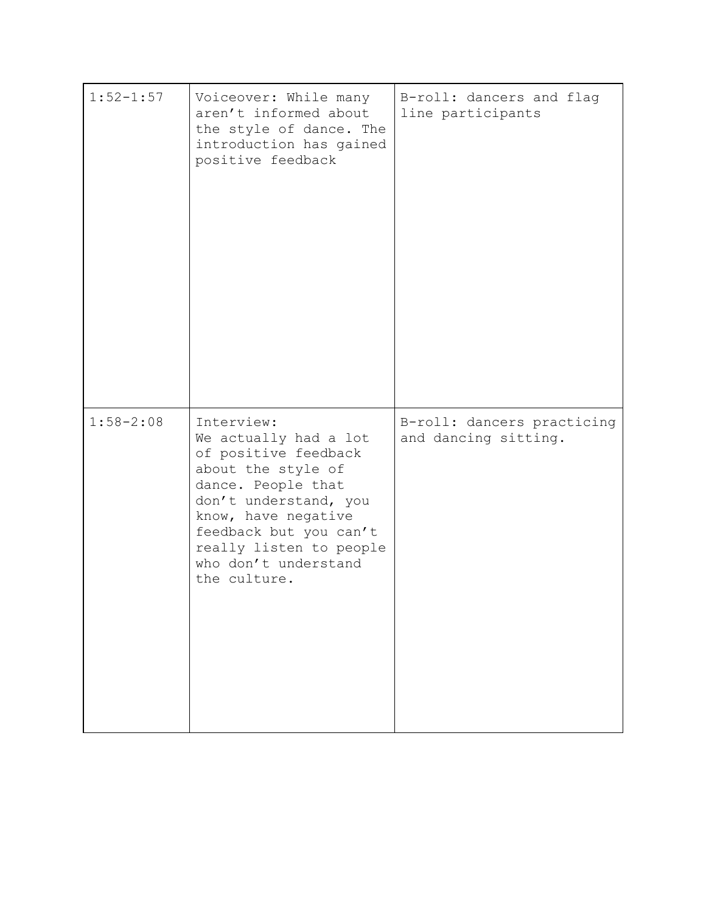| $1:52 - 1:57$ | Voiceover: While many<br>aren't informed about<br>the style of dance. The<br>introduction has gained<br>positive feedback                                                                                                                            | B-roll: dancers and flag<br>line participants      |
|---------------|------------------------------------------------------------------------------------------------------------------------------------------------------------------------------------------------------------------------------------------------------|----------------------------------------------------|
| $1:58 - 2:08$ | Interview:<br>We actually had a lot<br>of positive feedback<br>about the style of<br>dance. People that<br>don't understand, you<br>know, have negative<br>feedback but you can't<br>really listen to people<br>who don't understand<br>the culture. | B-roll: dancers practicing<br>and dancing sitting. |